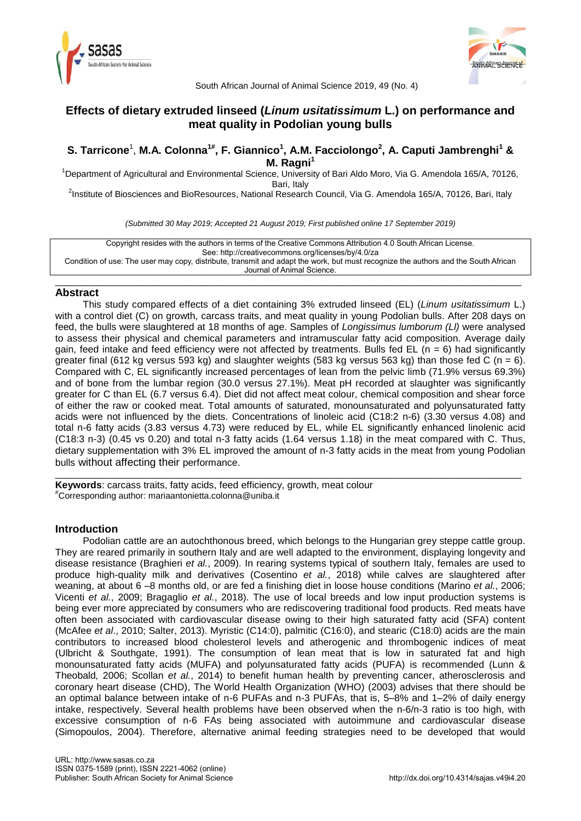



South African Journal of Animal Science 2019, 49 (No. 4)

# **Effects of dietary extruded linseed (***Linum usitatissimum* **L.) on performance and meat quality in Podolian young bulls**

## **S. Tarricone**<sup>1</sup> , **M.A. Colonna1# , F. Giannico<sup>1</sup> , A.M. Facciolongo<sup>2</sup> , A. Caputi Jambrenghi<sup>1</sup> & M. Ragni<sup>1</sup>**

<sup>1</sup>Department of Agricultural and Environmental Science, University of Bari Aldo Moro, Via G. Amendola 165/A, 70126, Bari, Italy

<sup>2</sup>Institute of Biosciences and BioResources, National Research Council, Via G. Amendola 165/A, 70126, Bari, Italy

*(Submitted 30 May 2019; Accepted 21 August 2019; First published online 17 September 2019)*

Copyright resides with the authors in terms of the Creative Commons Attribution 4.0 South African License. See: http://creativecommons.org/licenses/by/4.0/za Condition of use: The user may copy, distribute, transmit and adapt the work, but must recognize the authors and the South African Journal of Animal Science.

\_\_\_\_\_\_\_\_\_\_\_\_\_\_\_\_\_\_\_\_\_\_\_\_\_\_\_\_\_\_\_\_\_\_\_\_\_\_\_\_\_\_\_\_\_\_\_\_\_\_\_\_\_\_\_\_\_\_\_\_\_\_\_\_\_\_\_\_\_\_\_\_\_\_\_\_\_\_\_\_\_\_\_\_\_\_

## **Abstract**

This study compared effects of a diet containing 3% extruded linseed (EL) (*Linum usitatissimum* L.) with a control diet (C) on growth, carcass traits, and meat quality in young Podolian bulls. After 208 days on feed, the bulls were slaughtered at 18 months of age. Samples of *Longissimus lumborum (Ll)* were analysed to assess their physical and chemical parameters and intramuscular fatty acid composition. Average daily gain, feed intake and feed efficiency were not affected by treatments. Bulls fed EL (n = 6) had significantly greater final (612 kg versus 593 kg) and slaughter weights (583 kg versus 563 kg) than those fed C (n = 6). Compared with C, EL significantly increased percentages of lean from the pelvic limb (71.9% versus 69.3%) and of bone from the lumbar region (30.0 versus 27.1%). Meat pH recorded at slaughter was significantly greater for C than EL (6.7 versus 6.4). Diet did not affect meat colour, chemical composition and shear force of either the raw or cooked meat. Total amounts of saturated, monounsaturated and polyunsaturated fatty acids were not influenced by the diets. Concentrations of linoleic acid (C18:2 n-6) (3.30 versus 4.08) and total n-6 fatty acids (3.83 versus 4.73) were reduced by EL, while EL significantly enhanced linolenic acid (C18:3 n-3) (0.45 vs 0.20) and total n-3 fatty acids (1.64 versus 1.18) in the meat compared with C. Thus, dietary supplementation with 3% EL improved the amount of n-3 fatty acids in the meat from young Podolian bulls without affecting their performance.

\_\_\_\_\_\_\_\_\_\_\_\_\_\_\_\_\_\_\_\_\_\_\_\_\_\_\_\_\_\_\_\_\_\_\_\_\_\_\_\_\_\_\_\_\_\_\_\_\_\_\_\_\_\_\_\_\_\_\_\_\_\_\_\_\_\_\_\_\_\_\_\_\_\_\_\_\_\_\_\_\_\_\_\_\_\_

**Keywords**: carcass traits, fatty acids, feed efficiency, growth, meat colour #Corresponding author: mariaantonietta.colonna@uniba.it

# **Introduction**

Podolian cattle are an autochthonous breed, which belongs to the Hungarian grey steppe cattle group. They are reared primarily in southern Italy and are well adapted to the environment, displaying longevity and disease resistance (Braghieri *et al.*, 2009). In rearing systems typical of southern Italy, females are used to produce high-quality milk and derivatives (Cosentino *et al.*, 2018) while calves are slaughtered after weaning, at about 6 –8 months old, or are fed a finishing diet in loose house conditions (Marino *et al.*, 2006; Vicenti *et al.*, 2009; Bragaglio *et al.*, 2018). The use of local breeds and low input production systems is being ever more appreciated by consumers who are rediscovering traditional food products. Red meats have often been associated with cardiovascular disease owing to their high saturated fatty acid (SFA) content (McAfee *et al*., 2010; Salter, 2013). Myristic (C14:0), palmitic (C16:0), and stearic (C18:0) acids are the main contributors to increased blood cholesterol levels and atherogenic and thrombogenic indices of meat [\(Ulbricht &](https://www.ncbi.nlm.nih.gov/pubmed/?term=Ulbricht%20TL%5BAuthor%5D&cauthor=true&cauthor_uid=1681350) [Southgate, 1991\)](https://www.ncbi.nlm.nih.gov/pubmed/?term=Southgate%20DA%5BAuthor%5D&cauthor=true&cauthor_uid=1681350). The consumption of lean meat that is low in saturated fat and high monounsaturated fatty acids (MUFA) and polyunsaturated fatty acids (PUFA) is recommended (Lunn & Theobald*,* 2006; Scollan *et al.*, 2014) to benefit human health by preventing cancer, atherosclerosis and coronary heart disease (CHD), The World Health Organization (WHO) (2003) advises that there should be an optimal balance between intake of n-6 PUFAs and n-3 PUFAs, that is, 5–8% and 1–2% of daily energy intake, respectively. Several health problems have been observed when the n-6/n-3 ratio is too high, with excessive consumption of n-6 FAs being associated with autoimmune and cardiovascular disease (Simopoulos, 2004). Therefore, alternative animal feeding strategies need to be developed that would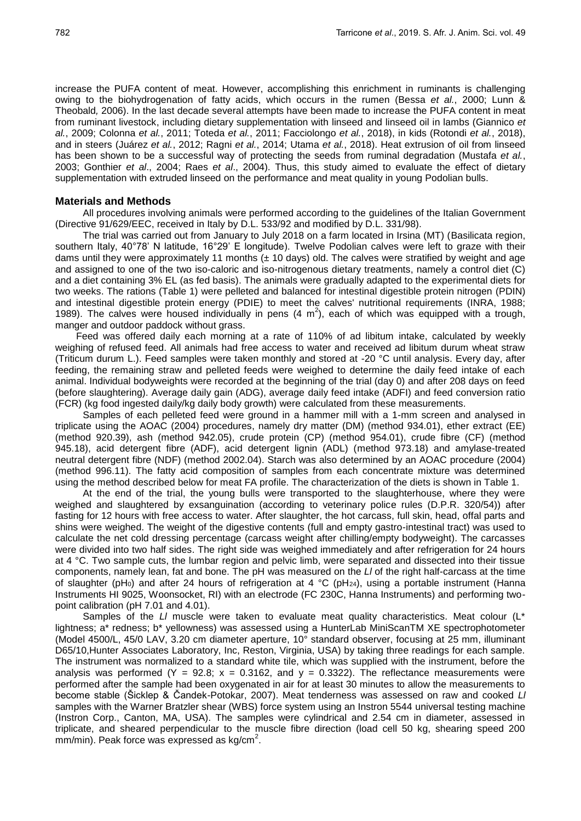increase the PUFA content of meat. However, accomplishing this enrichment in ruminants is challenging owing to the biohydrogenation of fatty acids, which occurs in the rumen (Bessa *et al.*, 2000; Lunn & Theobald*,* 2006). In the last decade several attempts have been made to increase the PUFA content in meat from ruminant livestock, including dietary supplementation with linseed and linseed oil in lambs (Giannico *et al.*, 2009; Colonna *et al.*, 2011; Toteda *et al.*, 2011; Facciolongo *et al.*, 2018), in kids (Rotondi *et al.*, 2018), and in steers (Juárez *et al.*, 2012; Ragni *et al.*, 2014; Utama *et al.*, 2018). Heat extrusion of oil from linseed has been shown to be a successful way of protecting the seeds from ruminal degradation (Mustafa *et al.*, 2003; Gonthier *et al*., 2004; Raes *et al*., 2004). Thus, this study aimed to evaluate the effect of dietary supplementation with extruded linseed on the performance and meat quality in young Podolian bulls.

#### **Materials and Methods**

All procedures involving animals were performed according to the guidelines of the Italian Government (Directive 91/629/EEC, received in Italy by D.L. 533/92 and modified by D.L. 331/98).

The trial was carried out from January to July 2018 on a farm located in Irsina (MT) (Basilicata region, southern Italy, 40°78' N latitude, 16°29' E longitude). Twelve Podolian calves were left to graze with their dams until they were approximately 11 months  $(\pm 10 \text{ days})$  old. The calves were stratified by weight and age and assigned to one of the two iso-caloric and iso-nitrogenous dietary treatments, namely a control diet (C) and a diet containing 3% EL (as fed basis). The animals were gradually adapted to the experimental diets for two weeks. The rations (Table 1) were pelleted and balanced for intestinal digestible protein nitrogen (PDIN) and intestinal digestible protein energy (PDIE) to meet the calves' nutritional requirements (INRA, 1988; 1989). The calves were housed individually in pens  $(4 \text{ m}^2)$ , each of which was equipped with a trough, manger and outdoor paddock without grass.

Feed was offered daily each morning at a rate of 110% of ad libitum intake, calculated by weekly weighing of refused feed. All animals had free access to water and received ad libitum durum wheat straw (Triticum durum L.). Feed samples were taken monthly and stored at -20 °C until analysis. Every day, after feeding, the remaining straw and pelleted feeds were weighed to determine the daily feed intake of each animal. Individual bodyweights were recorded at the beginning of the trial (day 0) and after 208 days on feed (before slaughtering). Average daily gain (ADG), average daily feed intake (ADFI) and feed conversion ratio (FCR) (kg food ingested daily/kg daily body growth) were calculated from these measurements.

Samples of each pelleted feed were ground in a hammer mill with a 1-mm screen and analysed in triplicate using the AOAC (2004) procedures, namely dry matter (DM) (method 934.01), ether extract (EE) (method 920.39), ash (method 942.05), crude protein (CP) (method 954.01), crude fibre (CF) (method 945.18), acid detergent fibre (ADF), acid detergent lignin (ADL) (method 973.18) and amylase-treated neutral detergent fibre (NDF) (method 2002.04). Starch was also determined by an AOAC procedure (2004) (method 996.11). The fatty acid composition of samples from each concentrate mixture was determined using the method described below for meat FA profile. The characterization of the diets is shown in Table 1.

At the end of the trial, the young bulls were transported to the slaughterhouse, where they were weighed and slaughtered by exsanguination (according to veterinary police rules (D.P.R. 320/54)) after fasting for 12 hours with free access to water. After slaughter, the hot carcass, full skin, head, offal parts and shins were weighed. The weight of the digestive contents (full and empty gastro-intestinal tract) was used to calculate the net cold dressing percentage (carcass weight after chilling/empty bodyweight). The carcasses were divided into two half sides. The right side was weighed immediately and after refrigeration for 24 hours at 4 °C. Two sample cuts, the lumbar region and pelvic limb, were separated and dissected into their tissue components, namely lean, fat and bone. The pH was measured on the *Ll* of the right half-carcass at the time of slaughter (pH<sub>0</sub>) and after 24 hours of refrigeration at 4 °C (pH<sub>24</sub>), using a portable instrument (Hanna Instruments HI 9025, Woonsocket, RI) with an electrode (FC 230C, Hanna Instruments) and performing twopoint calibration (pH 7.01 and 4.01).

Samples of the *LI* muscle were taken to evaluate meat quality characteristics. Meat colour (L<sup>\*</sup> lightness; a\* redness; b\* yellowness) was assessed using a HunterLab MiniScanTM XE spectrophotometer (Model 4500/L, 45/0 LAV, 3.20 cm diameter aperture, 10° standard observer, focusing at 25 mm, illuminant D65/10,Hunter Associates Laboratory, Inc, Reston, Virginia, USA) by taking three readings for each sample. The instrument was normalized to a standard white tile, which was supplied with the instrument, before the analysis was performed (Y = 92.8; x = 0.3162, and y = 0.3322). The reflectance measurements were performed after the sample had been oxygenated in air for at least 30 minutes to allow the measurements to become stable (Šicklep & Čandek-Potokar, 2007). Meat tenderness was assessed on raw and cooked *Ll*  samples with the Warner Bratzler shear (WBS) force system using an Instron 5544 universal testing machine (Instron Corp., Canton, MA, USA). The samples were cylindrical and 2.54 cm in diameter, assessed in triplicate, and sheared perpendicular to the muscle fibre direction (load cell 50 kg, shearing speed 200  $mm/min$ ). Peak force was expressed as kg/cm<sup>2</sup>.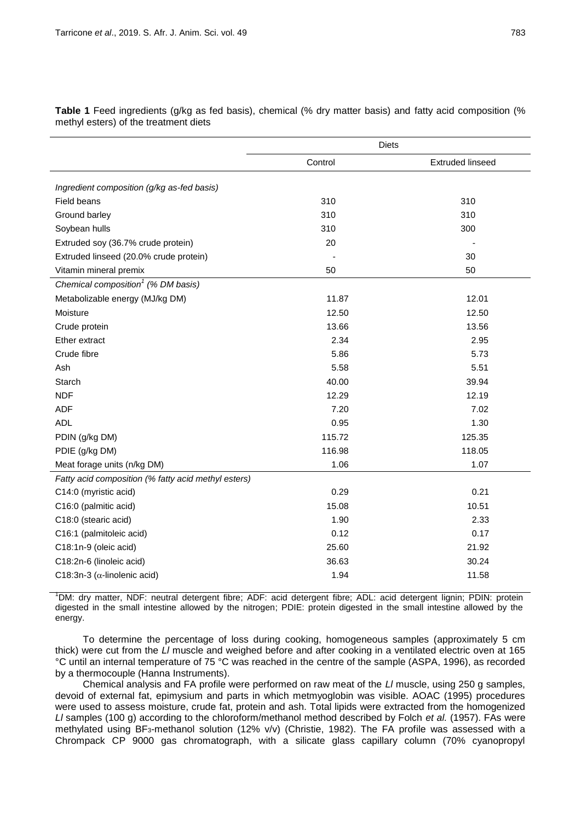|                                                     | <b>Diets</b> |                         |  |
|-----------------------------------------------------|--------------|-------------------------|--|
|                                                     | Control      | <b>Extruded linseed</b> |  |
| Ingredient composition (g/kg as-fed basis)          |              |                         |  |
| Field beans                                         | 310          | 310                     |  |
| Ground barley                                       | 310          | 310                     |  |
| Soybean hulls                                       | 310          | 300                     |  |
| Extruded soy (36.7% crude protein)                  | 20           |                         |  |
| Extruded linseed (20.0% crude protein)              |              | 30                      |  |
| Vitamin mineral premix                              | 50           | 50                      |  |
| Chemical composition <sup>1</sup> (% DM basis)      |              |                         |  |
| Metabolizable energy (MJ/kg DM)                     | 11.87        | 12.01                   |  |
| Moisture                                            | 12.50        | 12.50                   |  |
| Crude protein                                       | 13.66        | 13.56                   |  |
| Ether extract                                       | 2.34         | 2.95                    |  |
| Crude fibre                                         | 5.86         | 5.73                    |  |
| Ash                                                 | 5.58         | 5.51                    |  |
| Starch                                              | 40.00        | 39.94                   |  |
| <b>NDF</b>                                          | 12.29        | 12.19                   |  |
| <b>ADF</b>                                          | 7.20         | 7.02                    |  |
| <b>ADL</b>                                          | 0.95         | 1.30                    |  |
| PDIN (g/kg DM)                                      | 115.72       | 125.35                  |  |
| PDIE (g/kg DM)                                      | 116.98       | 118.05                  |  |
| Meat forage units (n/kg DM)                         | 1.06         | 1.07                    |  |
| Fatty acid composition (% fatty acid methyl esters) |              |                         |  |
| C14:0 (myristic acid)                               | 0.29         | 0.21                    |  |
| C16:0 (palmitic acid)                               | 15.08        | 10.51                   |  |
| C18:0 (stearic acid)                                | 1.90         | 2.33                    |  |
| C16:1 (palmitoleic acid)                            | 0.12         | 0.17                    |  |
| C18:1n-9 (oleic acid)                               | 25.60        | 21.92                   |  |
| C18:2n-6 (linoleic acid)                            | 36.63        | 30.24                   |  |
| C18:3n-3 ( $\alpha$ -linolenic acid)                | 1.94         | 11.58                   |  |

**Table 1** Feed ingredients (g/kg as fed basis), chemical (% dry matter basis) and fatty acid composition (% methyl esters) of the treatment diets

<sup>1</sup>DM: dry matter, NDF: neutral detergent fibre; ADF: acid detergent fibre; ADL: acid detergent lignin; PDIN: protein digested in the small intestine allowed by the nitrogen; PDIE: protein digested in the small intestine allowed by the energy.

To determine the percentage of loss during cooking, homogeneous samples (approximately 5 cm thick) were cut from the *Ll* muscle and weighed before and after cooking in a ventilated electric oven at 165 °C until an internal temperature of 75 °C was reached in the centre of the sample (ASPA, 1996), as recorded by a thermocouple (Hanna Instruments).

Chemical analysis and FA profile were performed on raw meat of the *Ll* muscle, using 250 g samples, devoid of external fat, epimysium and parts in which metmyoglobin was visible. AOAC (1995) procedures were used to assess moisture, crude fat, protein and ash. Total lipids were extracted from the homogenized *Ll* samples (100 g) according to the chloroform/methanol method described by Folch *et al.* (1957). FAs were methylated using BF3-methanol solution (12% v/v) (Christie, 1982). The FA profile was assessed with a Chrompack CP 9000 gas chromatograph, with a silicate glass capillary column (70% cyanopropyl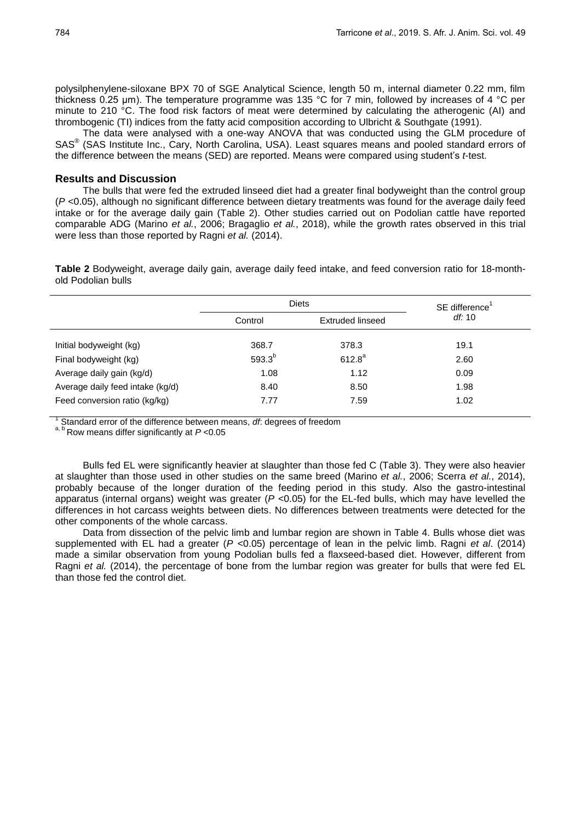polysilphenylene-siloxane BPX 70 of SGE Analytical Science, length 50 m, internal diameter 0.22 mm, film thickness 0.25 μm). The temperature programme was 135 °C for 7 min, followed by increases of 4 °C per minute to 210 °C. The food risk factors of meat were determined by calculating the atherogenic (AI) and thrombogenic (TI) indices from the fatty acid composition according to Ulbricht & Southgate (1991).

The data were analysed with a one-way ANOVA that was conducted using the GLM procedure of SAS<sup>®</sup> (SAS Institute Inc., Cary, North Carolina, USA). Least squares means and pooled standard errors of the difference between the means (SED) are reported. Means were compared using student's *t*-test.

### **Results and Discussion**

The bulls that were fed the extruded linseed diet had a greater final bodyweight than the control group (*P* <0.05), although no significant difference between dietary treatments was found for the average daily feed intake or for the average daily gain (Table 2). Other studies carried out on Podolian cattle have reported comparable ADG (Marino *et al.*, 2006; Bragaglio *et al.*, 2018), while the growth rates observed in this trial were less than those reported by Ragni *et al.* (2014).

**Table 2** Bodyweight, average daily gain, average daily feed intake, and feed conversion ratio for 18-monthold Podolian bulls

|                                  | <b>Diets</b>                |           | SE difference <sup>1</sup> |  |
|----------------------------------|-----------------------------|-----------|----------------------------|--|
|                                  | Control<br>Extruded linseed |           | df:10                      |  |
| Initial bodyweight (kg)          | 368.7                       | 378.3     | 19.1                       |  |
| Final bodyweight (kg)            | $593.3^{b}$                 | $612.8^a$ | 2.60                       |  |
| Average daily gain (kg/d)        | 1.08                        | 1.12      | 0.09                       |  |
| Average daily feed intake (kg/d) | 8.40                        | 8.50      | 1.98                       |  |
| Feed conversion ratio (kg/kg)    | 7.77                        | 7.59      | 1.02                       |  |

1 Standard error of the difference between means, *df*: degrees of freedom

a, b Row means differ significantly at  $P < 0.05$ 

Bulls fed EL were significantly heavier at slaughter than those fed C (Table 3). They were also heavier at slaughter than those used in other studies on the same breed (Marino *et al.*, 2006; Scerra *et al.*, 2014), probably because of the longer duration of the feeding period in this study. Also the gastro-intestinal apparatus (internal organs) weight was greater (*P* <0.05) for the EL-fed bulls, which may have levelled the differences in hot carcass weights between diets. No differences between treatments were detected for the other components of the whole carcass.

Data from dissection of the pelvic limb and lumbar region are shown in Table 4. Bulls whose diet was supplemented with EL had a greater ( $P < 0.05$ ) percentage of lean in the pelvic limb. Ragni *et al.* (2014) made a similar observation from young Podolian bulls fed a flaxseed-based diet. However, different from Ragni *et al.* (2014), the percentage of bone from the lumbar region was greater for bulls that were fed EL than those fed the control diet.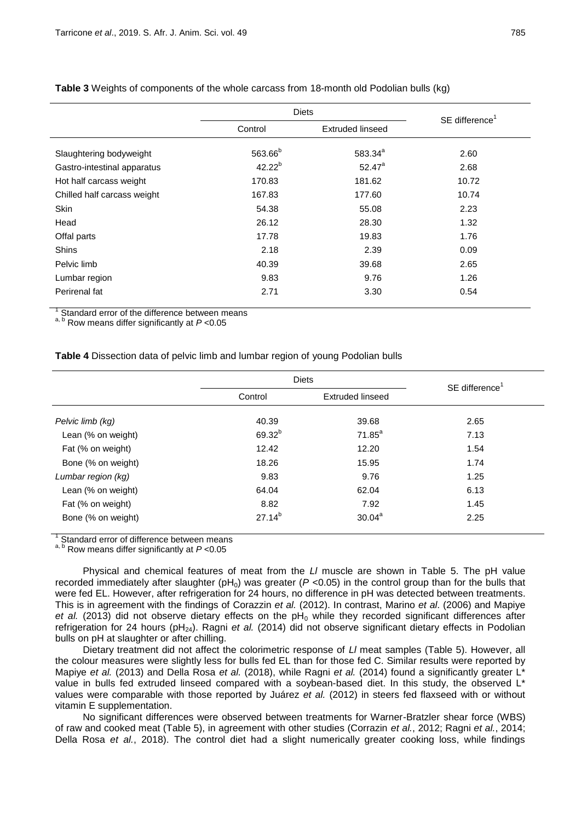|                             | <b>Diets</b>        |                         | SE difference <sup>1</sup> |
|-----------------------------|---------------------|-------------------------|----------------------------|
|                             | Control             | <b>Extruded linseed</b> |                            |
| Slaughtering bodyweight     | 563.66 <sup>b</sup> | 583.34 <sup>a</sup>     | 2.60                       |
| Gastro-intestinal apparatus | $42.22^{b}$         | $52.47^a$               | 2.68                       |
| Hot half carcass weight     | 170.83              | 181.62                  | 10.72                      |
| Chilled half carcass weight | 167.83              | 177.60                  | 10.74                      |
| <b>Skin</b>                 | 54.38               | 55.08                   | 2.23                       |
| Head                        | 26.12               | 28.30                   | 1.32                       |
| Offal parts                 | 17.78               | 19.83                   | 1.76                       |
| <b>Shins</b>                | 2.18                | 2.39                    | 0.09                       |
| Pelvic limb                 | 40.39               | 39.68                   | 2.65                       |
| Lumbar region               | 9.83                | 9.76                    | 1.26                       |
| Perirenal fat               | 2.71                | 3.30                    | 0.54                       |

#### **Table 3** Weights of components of the whole carcass from 18-month old Podolian bulls (kg)

1 Standard error of the difference between means

a, b Row means differ significantly at *P* <0.05

**Table 4** Dissection data of pelvic limb and lumbar region of young Podolian bulls

|                    | <b>Diets</b> |                         | SE difference <sup>1</sup> |
|--------------------|--------------|-------------------------|----------------------------|
|                    | Control      | <b>Extruded linseed</b> |                            |
| Pelvic limb (kg)   | 40.39        | 39.68                   | 2.65                       |
| Lean (% on weight) | $69.32^{b}$  | $71.85^a$               | 7.13                       |
| Fat (% on weight)  | 12.42        | 12.20                   | 1.54                       |
| Bone (% on weight) | 18.26        | 15.95                   | 1.74                       |
| Lumbar region (kg) | 9.83         | 9.76                    | 1.25                       |
| Lean (% on weight) | 64.04        | 62.04                   | 6.13                       |
| Fat (% on weight)  | 8.82         | 7.92                    | 1.45                       |
| Bone (% on weight) | $27.14^{b}$  | 30.04 <sup>a</sup>      | 2.25                       |

<sup>1</sup> Standard error of difference between means

a, b Row means differ significantly at  $P < 0.05$ 

Physical and chemical features of meat from the *Ll* muscle are shown in Table 5. The pH value recorded immediately after slaughter  $(pH_0)$  was greater  $(P < 0.05)$  in the control group than for the bulls that were fed EL. However, after refrigeration for 24 hours, no difference in pH was detected between treatments. This is in agreement with the findings of Corazzin *et al.* (2012). In contrast, Marino *et al*. (2006) and Mapiye *et al.* (2013) did not observe dietary effects on the  $pH_0$  while they recorded significant differences after refrigeration for 24 hours (pH<sub>24</sub>). Ragni et al. (2014) did not observe significant dietary effects in Podolian bulls on pH at slaughter or after chilling.

Dietary treatment did not affect the colorimetric response of *Ll* meat samples (Table 5). However, all the colour measures were slightly less for bulls fed EL than for those fed C. Similar results were reported by Mapiye *et al.* (2013) and Della Rosa *et al.* (2018), while Ragni *et al.* (2014) found a significantly greater L<sup>\*</sup> value in bulls fed extruded linseed compared with a soybean-based diet. In this study, the observed L\* values were comparable with those reported by Juárez *et al.* (2012) in steers fed flaxseed with or without vitamin E supplementation.

No significant differences were observed between treatments for Warner-Bratzler shear force (WBS) of raw and cooked meat (Table 5), in agreement with other studies (Corrazin *et al.*, 2012; Ragni *et al.*, 2014; Della Rosa *et al.*, 2018). The control diet had a slight numerically greater cooking loss, while findings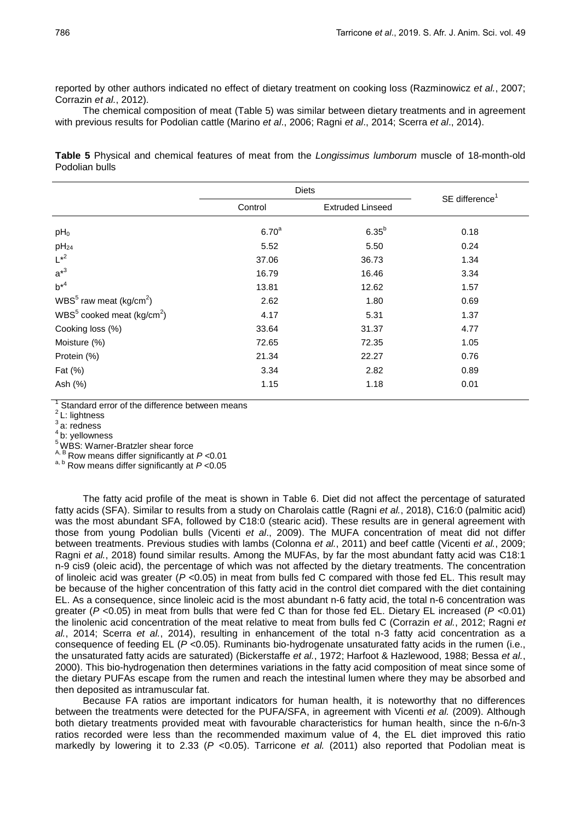reported by other authors indicated no effect of dietary treatment on cooking loss (Razminowicz *et al.*, 2007; Corrazin *et al.*, 2012).

The chemical composition of meat (Table 5) was similar between dietary treatments and in agreement with previous results for Podolian cattle (Marino *et al*., 2006; Ragni *et al*., 2014; Scerra *et al*., 2014).

**Table 5** Physical and chemical features of meat from the *Longissimus lumborum* muscle of 18-month-old Podolian bulls

|                                                   | <b>Diets</b>      |                         | SE difference <sup>1</sup> |
|---------------------------------------------------|-------------------|-------------------------|----------------------------|
|                                                   | Control           | <b>Extruded Linseed</b> |                            |
| $pH_0$                                            | 6.70 <sup>a</sup> | $6.35^{b}$              | 0.18                       |
| $pH_{24}$                                         | 5.52              | 5.50                    | 0.24                       |
| $L^{*2}$                                          | 37.06             | 36.73                   | 1.34                       |
| $a^{*3}$                                          | 16.79             | 16.46                   | 3.34                       |
| $b^{*4}$                                          | 13.81             | 12.62                   | 1.57                       |
| WBS $5$ raw meat (kg/cm <sup>2</sup> )            | 2.62              | 1.80                    | 0.69                       |
| WBS $5^{\circ}$ cooked meat (kg/cm <sup>2</sup> ) | 4.17              | 5.31                    | 1.37                       |
| Cooking loss (%)                                  | 33.64             | 31.37                   | 4.77                       |
| Moisture (%)                                      | 72.65             | 72.35                   | 1.05                       |
| Protein (%)                                       | 21.34             | 22.27                   | 0.76                       |
| Fat (%)                                           | 3.34              | 2.82                    | 0.89                       |
| Ash (%)                                           | 1.15              | 1.18                    | 0.01                       |

1 Standard error of the difference between means

<sup>2</sup>L: lightness

 $3a$ : redness

4 b: yellowness

<sup>5</sup> WBS: Warner-Bratzler shear force

A, B Row means differ significantly at *P* <0.01

a, b Row means differ significantly at *P* <0.05

The fatty acid profile of the meat is shown in Table 6. Diet did not affect the percentage of saturated fatty acids (SFA). Similar to results from a study on Charolais cattle (Ragni *et al.*, 2018), C16:0 (palmitic acid) was the most abundant SFA, followed by C18:0 (stearic acid). These results are in general agreement with those from young Podolian bulls (Vicenti *et al*., 2009). The MUFA concentration of meat did not differ between treatments. Previous studies with lambs (Colonna *et al.*, 2011) and beef cattle (Vicenti *et al.*, 2009; Ragni *et al.*, 2018) found similar results. Among the MUFAs, by far the most abundant fatty acid was C18:1 n-9 cis9 (oleic acid), the percentage of which was not affected by the dietary treatments. The concentration of linoleic acid was greater (*P* <0.05) in meat from bulls fed C compared with those fed EL. This result may be because of the higher concentration of this fatty acid in the control diet compared with the diet containing EL. As a consequence, since linoleic acid is the most abundant n-6 fatty acid, the total n-6 concentration was greater (*P* <0.05) in meat from bulls that were fed C than for those fed EL. Dietary EL increased (*P* <0.01) the linolenic acid concentration of the meat relative to meat from bulls fed C (Corrazin *et al.*, 2012; Ragni *et al.*, 2014; Scerra *et al.*, 2014), resulting in enhancement of the total n-3 fatty acid concentration as a consequence of feeding EL (*P* <0.05). Ruminants bio-hydrogenate unsaturated fatty acids in the rumen (i.e., the unsaturated fatty acids are saturated) (Bickerstaffe *et al.*, 1972; Harfoot & Hazlewood, 1988; Bessa *et al.*, 2000). This bio-hydrogenation then determines variations in the fatty acid composition of meat since some of the dietary PUFAs escape from the rumen and reach the intestinal lumen where they may be absorbed and then deposited as intramuscular fat.

Because FA ratios are important indicators for human health, it is noteworthy that no differences between the treatments were detected for the PUFA/SFA, in agreement with Vicenti *et al.* (2009). Although both dietary treatments provided meat with favourable characteristics for human health, since the n-6/n-3 ratios recorded were less than the recommended maximum value of 4, the EL diet improved this ratio markedly by lowering it to 2.33 (*P* <0.05). Tarricone *et al.* (2011) also reported that Podolian meat is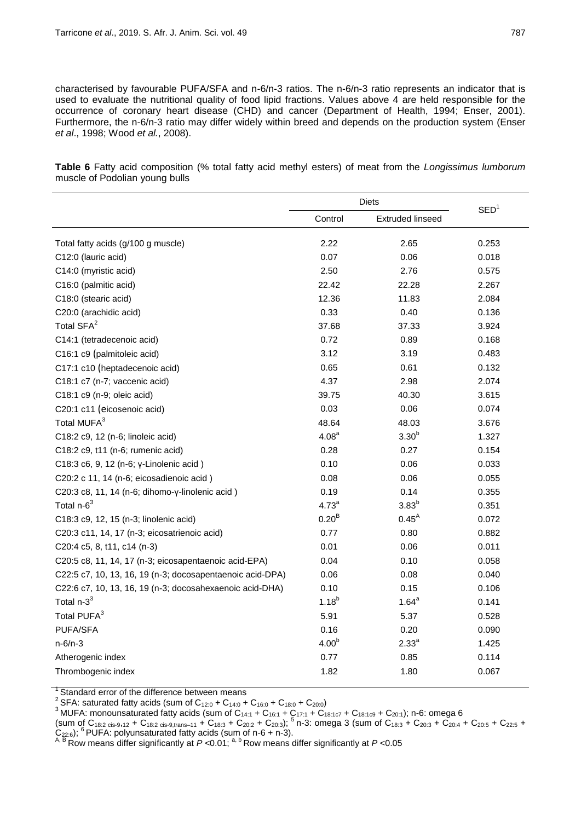characterised by favourable PUFA/SFA and n-6/n-3 ratios. The n-6/n-3 ratio represents an indicator that is used to evaluate the nutritional quality of food lipid fractions. Values above 4 are held responsible for the occurrence of coronary heart disease (CHD) and cancer (Department of Health, 1994; Enser, 2001). Furthermore, the n-6/n-3 ratio may differ widely within breed and depends on the production system (Enser *et al*., 1998; Wood *et al.*, 2008).

**Table 6** Fatty acid composition (% total fatty acid methyl esters) of meat from the *Longissimus lumborum* muscle of Podolian young bulls

|                                                           | Diets             |                         |                  |
|-----------------------------------------------------------|-------------------|-------------------------|------------------|
|                                                           | Control           | <b>Extruded linseed</b> | SED <sup>1</sup> |
| Total fatty acids (g/100 g muscle)                        | 2.22              | 2.65                    | 0.253            |
| C12:0 (lauric acid)                                       | 0.07              | 0.06                    | 0.018            |
| C14:0 (myristic acid)                                     | 2.50              | 2.76                    | 0.575            |
| C16:0 (palmitic acid)                                     | 22.42             | 22.28                   | 2.267            |
| C18:0 (stearic acid)                                      | 12.36             | 11.83                   | 2.084            |
| C20:0 (arachidic acid)                                    | 0.33              | 0.40                    | 0.136            |
| Total SFA <sup>2</sup>                                    | 37.68             | 37.33                   | 3.924            |
| C14:1 (tetradecenoic acid)                                | 0.72              | 0.89                    | 0.168            |
| C16:1 c9 (palmitoleic acid)                               | 3.12              | 3.19                    | 0.483            |
| C17:1 c10 (heptadecenoic acid)                            | 0.65              | 0.61                    | 0.132            |
| C18:1 c7 (n-7; vaccenic acid)                             | 4.37              | 2.98                    | 2.074            |
| C18:1 c9 (n-9; oleic acid)                                | 39.75             | 40.30                   | 3.615            |
| C20:1 c11 (eicosenoic acid)                               | 0.03              | 0.06                    | 0.074            |
| Total MUFA <sup>3</sup>                                   | 48.64             | 48.03                   | 3.676            |
| C18:2 c9, 12 (n-6; linoleic acid)                         | 4.08 <sup>a</sup> | 3.30 <sup>b</sup>       | 1.327            |
| C18:2 c9, t11 (n-6; rumenic acid)                         | 0.28              | 0.27                    | 0.154            |
| C18:3 c6, 9, 12 (n-6; γ-Linolenic acid)                   | 0.10              | 0.06                    | 0.033            |
| C20:2 c 11, 14 (n-6; eicosadienoic acid)                  | 0.08              | 0.06                    | 0.055            |
| C20:3 c8, 11, 14 (n-6; dihomo-y-linolenic acid)           | 0.19              | 0.14                    | 0.355            |
| Total n-6 <sup>3</sup>                                    | 4.73 <sup>a</sup> | $3.83^{b}$              | 0.351            |
| C18:3 c9, 12, 15 (n-3; linolenic acid)                    | 0.20 <sup>B</sup> | $0.45^{A}$              | 0.072            |
| C20:3 c11, 14, 17 (n-3; eicosatrienoic acid)              | 0.77              | 0.80                    | 0.882            |
| C20:4 c5, 8, t11, c14 (n-3)                               | 0.01              | 0.06                    | 0.011            |
| C20:5 c8, 11, 14, 17 (n-3; eicosapentaenoic acid-EPA)     | 0.04              | 0.10                    | 0.058            |
| C22:5 c7, 10, 13, 16, 19 (n-3; docosapentaenoic acid-DPA) | 0.06              | 0.08                    | 0.040            |
| C22:6 c7, 10, 13, 16, 19 (n-3; docosahexaenoic acid-DHA)  | 0.10              | 0.15                    | 0.106            |
| Total $n-3^3$                                             | $1.18^{b}$        | $1.64^a$                | 0.141            |
| Total PUFA <sup>3</sup>                                   | 5.91              | 5.37                    | 0.528            |
| PUFA/SFA                                                  | 0.16              | 0.20                    | 0.090            |
| $n-6/n-3$                                                 | 4.00 <sup>b</sup> | 2.33 <sup>a</sup>       | 1.425            |
| Atherogenic index                                         | 0.77              | 0.85                    | 0.114            |
| Thrombogenic index                                        | 1.82              | 1.80                    | 0.067            |

<sup>1</sup> Standard error of the difference between means<br><sup>2</sup> SFA: saturated fatty acids (sum of C<sub>12:0</sub> + C<sub>14:0</sub> + C<sub>16:0</sub> + C<sub>18:0</sub> + C<sub>20:0</sub>)

<sup>3</sup> MUFA: monounsaturated fatty acids (sum of C<sub>14:1</sub> + C<sub>16:1</sub> + C<sub>17:1</sub> + C<sub>18:1c7</sub> + C<sub>18:1c9</sub> + C<sub>20:1</sub>); n-6: omega 6

(sum of C<sub>18:2 cis-9,12</sub> + C<sub>18:2 cis-9,trans–11</sub> + C<sub>18:3</sub> + C<sub>20:2</sub> + C<sub>20:3</sub>); <sup>5</sup> n-3: omega 3 (sum of C<sub>18:3</sub> + C<sub>20:3</sub> + C<sub>20:4</sub> + C<sub>20:5</sub> + C<sub>22:5</sub> +  $C_{22:6}$ ;  $6$  PUFA: polyunsaturated fatty acids (sum of n-6 + n-3).

A, B Row means differ significantly at *P* <0.01; a, b Row means differ significantly at *P* <0.05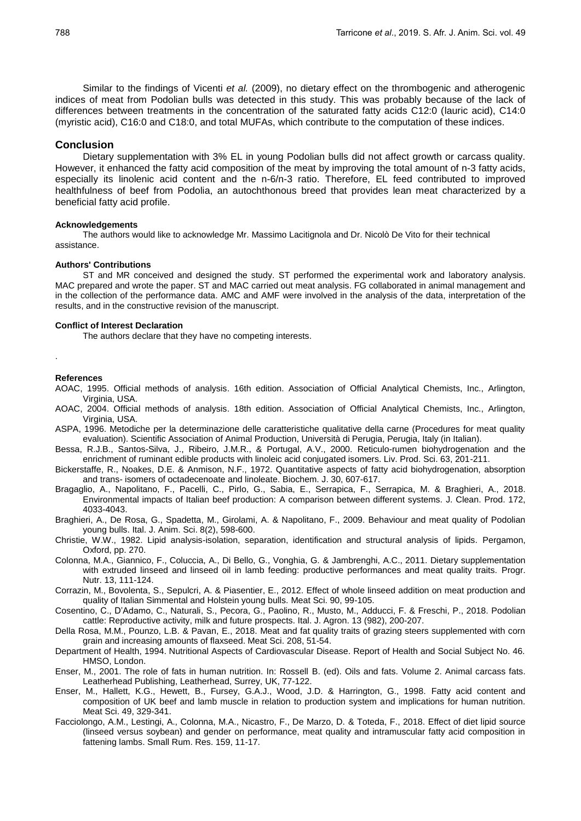Similar to the findings of Vicenti *et al.* (2009), no dietary effect on the thrombogenic and atherogenic indices of meat from Podolian bulls was detected in this study. This was probably because of the lack of differences between treatments in the concentration of the saturated fatty acids C12:0 (lauric acid), C14:0 (myristic acid), C16:0 and C18:0, and total MUFAs, which contribute to the computation of these indices.

#### **Conclusion**

Dietary supplementation with 3% EL in young Podolian bulls did not affect growth or carcass quality. However, it enhanced the fatty acid composition of the meat by improving the total amount of n-3 fatty acids, especially its linolenic acid content and the n-6/n-3 ratio. Therefore, EL feed contributed to improved healthfulness of beef from Podolia, an autochthonous breed that provides lean meat characterized by a beneficial fatty acid profile.

#### **Acknowledgements**

The authors would like to acknowledge Mr. Massimo Lacitignola and Dr. Nicolò De Vito for their technical assistance.

#### **Authors' Contributions**

ST and MR conceived and designed the study. ST performed the experimental work and laboratory analysis. MAC prepared and wrote the paper. ST and MAC carried out meat analysis. FG collaborated in animal management and in the collection of the performance data. AMC and AMF were involved in the analysis of the data, interpretation of the results, and in the constructive revision of the manuscript.

#### **Conflict of Interest Declaration**

The authors declare that they have no competing interests.

### **References**

.

- AOAC, 1995. Official methods of analysis. 16th edition. Association of Official Analytical Chemists, Inc., Arlington, Virginia, USA.
- AOAC, 2004. Official methods of analysis. 18th edition. Association of Official Analytical Chemists, Inc., Arlington, Virginia, USA.
- ASPA, 1996. Metodiche per la determinazione delle caratteristiche qualitative della carne (Procedures for meat quality evaluation). Scientific Association of Animal Production, Università di Perugia, Perugia, Italy (in Italian).
- Bessa, R.J.B., Santos-Silva, J., Ribeiro, J.M.R., & Portugal, A.V., 2000. Reticulo-rumen biohydrogenation and the enrichment of ruminant edible products with linoleic acid conjugated isomers. Liv. Prod. Sci. 63, 201-211.
- Bickerstaffe, R., Noakes, D.E. & Anmison, N.F., 1972. Quantitative aspects of fatty acid biohydrogenation, absorption and trans- isomers of octadecenoate and linoleate. Biochem. J. 30, 607-617.
- Bragaglio, A., Napolitano, F., Pacelli, C., Pirlo, G., Sabia, E., Serrapica, F., Serrapica, M. & Braghieri, A., 2018. Environmental impacts of Italian beef production: A comparison between different systems. J. Clean. Prod. 172, 4033-4043.
- Braghieri, A., De Rosa, G., Spadetta, M., Girolami, A. & Napolitano, F., 2009. Behaviour and meat quality of Podolian young bulls. Ital. J. Anim. Sci. 8(2), 598-600.
- Christie, W.W., 1982. Lipid analysis-isolation, separation, identification and structural analysis of lipids. Pergamon, Oxford, pp. 270.
- Colonna, M.A., Giannico, F., Coluccia, A., Di Bello, G., Vonghia, G. & Jambrenghi, A.C., 2011. Dietary supplementation with extruded linseed and linseed oil in lamb feeding: productive performances and meat quality traits. Progr. Nutr. 13, 111-124.
- Corrazin, M., Bovolenta, S., Sepulcri, A. & Piasentier, E., 2012. Effect of whole linseed addition on meat production and quality of Italian Simmental and Holstein young bulls. Meat Sci. 90, 99-105.
- Cosentino, C., D'Adamo, C., Naturali, S., Pecora, G., Paolino, R., Musto, M., Adducci, F. & Freschi, P., 2018. Podolian cattle: Reproductive activity, milk and future prospects. Ital. J. Agron. 13 (982), 200-207.
- Della Rosa, M.M., Pounzo, L.B. & Pavan, E., 2018. Meat and fat quality traits of grazing steers supplemented with corn grain and increasing amounts of flaxseed. Meat Sci. 208, 51-54.
- Department of Health, 1994. Nutritional Aspects of Cardiovascular Disease. Report of Health and Social Subject No. 46. HMSO, London.
- Enser, M., 2001. The role of fats in human nutrition. In: Rossell B. (ed). Oils and fats. Volume 2. Animal carcass fats. Leatherhead Publishing, Leatherhead, Surrey, UK, 77-122.
- Enser, M., Hallett, K.G., Hewett, B., Fursey, G.A.J., Wood, J.D. & Harrington, G., 1998. Fatty acid content and composition of UK beef and lamb muscle in relation to production system and implications for human nutrition. Meat Sci. 49, 329-341.
- Facciolongo, A.M., Lestingi, A., Colonna, M.A., Nicastro, F., De Marzo, D. & Toteda, F., 2018. Effect of diet lipid source (linseed versus soybean) and gender on performance, meat quality and intramuscular fatty acid composition in fattening lambs. Small Rum. Res. 159, 11-17.